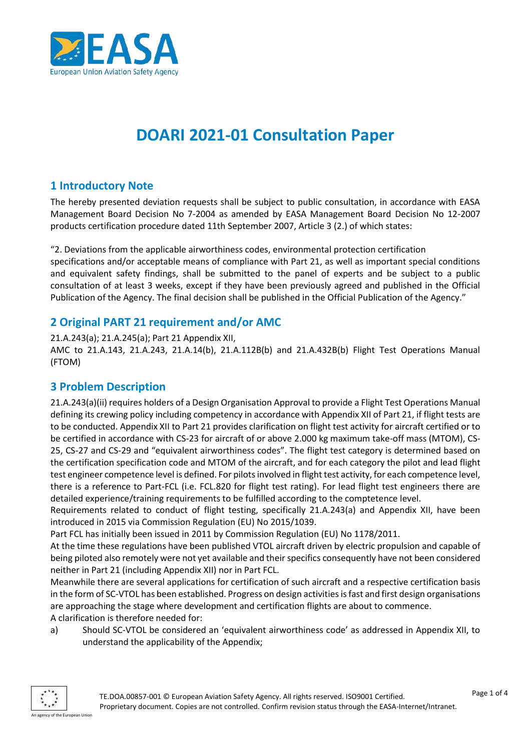

# **DOARI 2021-01 Consultation Paper**

## **1 Introductory Note**

The hereby presented deviation requests shall be subject to public consultation, in accordance with EASA Management Board Decision No 7‐2004 as amended by EASA Management Board Decision No 12‐2007 products certification procedure dated 11th September 2007, Article 3 (2.) of which states:

"2. Deviations from the applicable airworthiness codes, environmental protection certification specifications and/or acceptable means of compliance with Part 21, as well as important special conditions and equivalent safety findings, shall be submitted to the panel of experts and be subject to a public consultation of at least 3 weeks, except if they have been previously agreed and published in the Official Publication of the Agency. The final decision shall be published in the Official Publication of the Agency."

# **2 Original PART 21 requirement and/or AMC**

21.A.243(a); 21.A.245(a); Part 21 Appendix XII, AMC to 21.A.143, 21.A.243, 21.A.14(b), 21.A.112B(b) and 21.A.432B(b) Flight Test Operations Manual (FTOM)

# **3 Problem Description**

21.A.243(a)(ii) requires holders of a Design Organisation Approval to provide a Flight Test Operations Manual defining its crewing policy including competency in accordance with Appendix XII of Part 21, if flight tests are to be conducted. Appendix XII to Part 21 provides clarification on flight test activity for aircraft certified or to be certified in accordance with CS-23 for aircraft of or above 2.000 kg maximum take-off mass (MTOM), CS-25, CS-27 and CS-29 and "equivalent airworthiness codes". The flight test category is determined based on the certification specification code and MTOM of the aircraft, and for each category the pilot and lead flight test engineer competence level is defined. For pilots involved in flight test activity, for each competence level, there is a reference to Part-FCL (i.e. FCL.820 for flight test rating). For lead flight test engineers there are detailed experience/training requirements to be fulfilled according to the comptetence level.

Requirements related to conduct of flight testing, specifically 21.A.243(a) and Appendix XII, have been introduced in 2015 via Commission Regulation (EU) No 2015/1039.

Part FCL has initially been issued in 2011 by Commission Regulation (EU) No 1178/2011.

At the time these regulations have been published VTOL aircraft driven by electric propulsion and capable of being piloted also remotely were not yet available and their specifics consequently have not been considered neither in Part 21 (including Appendix XII) nor in Part FCL.

Meanwhile there are several applications for certification of such aircraft and a respective certification basis in the form of SC-VTOL has been established. Progress on design activities is fast and first design organisations are approaching the stage where development and certification flights are about to commence. A clarification is therefore needed for:

a) Should SC-VTOL be considered an 'equivalent airworthiness code' as addressed in Appendix XII, to understand the applicability of the Appendix;

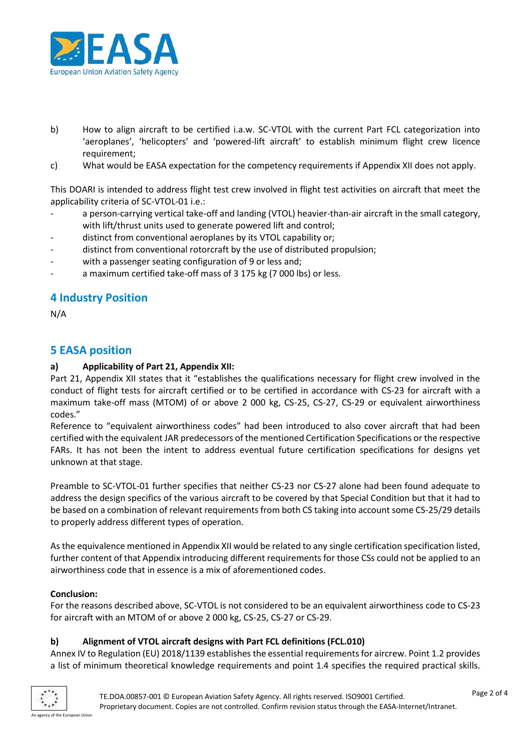

- b) How to align aircraft to be certified i.a.w. SC-VTOL with the current Part FCL categorization into 'aeroplanes', 'helicopters' and 'powered-lift aircraft' to establish minimum flight crew licence requirement;
- c) What would be EASA expectation for the competency requirements if Appendix XII does not apply.

This DOARI is intended to address flight test crew involved in flight test activities on aircraft that meet the applicability criteria of SC-VTOL-01 i.e.:

- a person-carrying vertical take-off and landing (VTOL) heavier-than-air aircraft in the small category, with lift/thrust units used to generate powered lift and control;
- distinct from conventional aeroplanes by its VTOL capability or;
- distinct from conventional rotorcraft by the use of distributed propulsion;
- with a passenger seating configuration of 9 or less and;
- a maximum certified take-off mass of 3 175 kg (7 000 lbs) or less.

# **4 Industry Position**

N/A

## **5 EASA position**

## **a) Applicability of Part 21, Appendix XII:**

Part 21, Appendix XII states that it "establishes the qualifications necessary for flight crew involved in the conduct of flight tests for aircraft certified or to be certified in accordance with CS-23 for aircraft with a maximum take-off mass (MTOM) of or above 2 000 kg, CS-25, CS-27, CS-29 or equivalent airworthiness codes."

Reference to "equivalent airworthiness codes" had been introduced to also cover aircraft that had been certified with the equivalent JAR predecessors of the mentioned Certification Specifications or the respective FARs. It has not been the intent to address eventual future certification specifications for designs yet unknown at that stage.

Preamble to SC-VTOL-01 further specifies that neither CS-23 nor CS-27 alone had been found adequate to address the design specifics of the various aircraft to be covered by that Special Condition but that it had to be based on a combination of relevant requirements from both CS taking into account some CS-25/29 details to properly address different types of operation.

As the equivalence mentioned in Appendix XII would be related to any single certification specification listed, further content of that Appendix introducing different requirements for those CSs could not be applied to an airworthiness code that in essence is a mix of aforementioned codes.

### **Conclusion:**

For the reasons described above, SC-VTOL is not considered to be an equivalent airworthiness code to CS-23 for aircraft with an MTOM of or above 2 000 kg, CS-25, CS-27 or CS-29.

## **b) Alignment of VTOL aircraft designs with Part FCL definitions (FCL.010)**

Annex IV to Regulation (EU) 2018/1139 establishes the essential requirements for aircrew. Point 1.2 provides a list of minimum theoretical knowledge requirements and point 1.4 specifies the required practical skills.

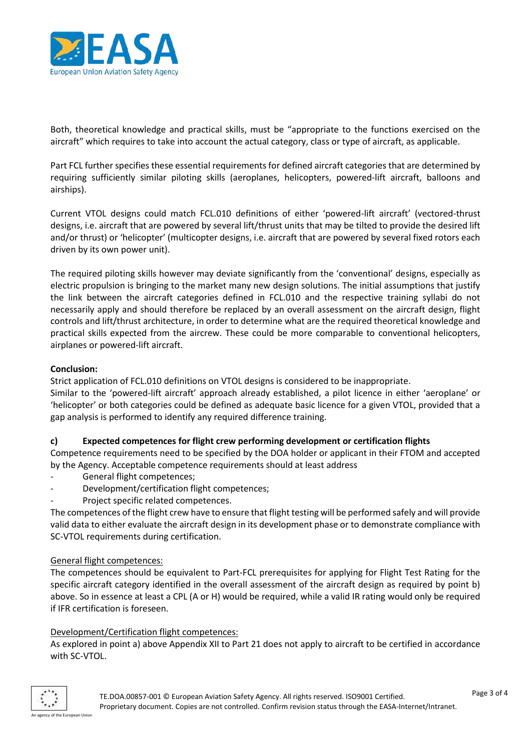

Both, theoretical knowledge and practical skills, must be "appropriate to the functions exercised on the aircraft" which requires to take into account the actual category, class or type of aircraft, as applicable.

Part FCL further specifies these essential requirements for defined aircraft categories that are determined by requiring sufficiently similar piloting skills (aeroplanes, helicopters, powered-lift aircraft, balloons and airships).

Current VTOL designs could match FCL.010 definitions of either 'powered-lift aircraft' (vectored-thrust designs, i.e. aircraft that are powered by several lift/thrust units that may be tilted to provide the desired lift and/or thrust) or 'helicopter' (multicopter designs, i.e. aircraft that are powered by several fixed rotors each driven by its own power unit).

The required piloting skills however may deviate significantly from the 'conventional' designs, especially as electric propulsion is bringing to the market many new design solutions. The initial assumptions that justify the link between the aircraft categories defined in FCL.010 and the respective training syllabi do not necessarily apply and should therefore be replaced by an overall assessment on the aircraft design, flight controls and lift/thrust architecture, in order to determine what are the required theoretical knowledge and practical skills expected from the aircrew. These could be more comparable to conventional helicopters, airplanes or powered-lift aircraft.

## **Conclusion:**

Strict application of FCL.010 definitions on VTOL designs is considered to be inappropriate.

Similar to the 'powered-lift aircraft' approach already established, a pilot licence in either 'aeroplane' or 'helicopter' or both categories could be defined as adequate basic licence for a given VTOL, provided that a gap analysis is performed to identify any required difference training.

### **c) Expected competences for flight crew performing development or certification flights**

Competence requirements need to be specified by the DOA holder or applicant in their FTOM and accepted by the Agency. Acceptable competence requirements should at least address

- General flight competences;
- Development/certification flight competences;
- Project specific related competences.

The competences of the flight crew have to ensure that flight testing will be performed safely and will provide valid data to either evaluate the aircraft design in its development phase or to demonstrate compliance with SC-VTOL requirements during certification.

### General flight competences:

The competences should be equivalent to Part-FCL prerequisites for applying for Flight Test Rating for the specific aircraft category identified in the overall assessment of the aircraft design as required by point b) above. So in essence at least a CPL (A or H) would be required, while a valid IR rating would only be required if IFR certification is foreseen.

### Development/Certification flight competences:

As explored in point a) above Appendix XII to Part 21 does not apply to aircraft to be certified in accordance with SC-VTOL.